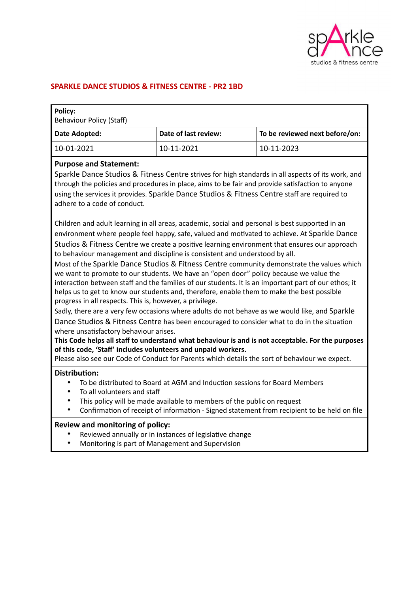

### **SPARKLE DANCE STUDIOS & FITNESS CENTRE - PR2 1BD**

| <b>Policy:</b><br><b>Behaviour Policy (Staff)</b> |                      |                                |
|---------------------------------------------------|----------------------|--------------------------------|
| Date Adopted:                                     | Date of last review: | To be reviewed next before/on: |
| 10-01-2021                                        | 10-11-2021           | 10-11-2023                     |

#### **Purpose and Statement:**

Sparkle Dance Studios & Fitness Centre strives for high standards in all aspects of its work, and through the policies and procedures in place, aims to be fair and provide satisfaction to anyone using the services it provides. Sparkle Dance Studios & Fitness Centre staff are required to adhere to a code of conduct.

Children and adult learning in all areas, academic, social and personal is best supported in an environment where people feel happy, safe, valued and motivated to achieve. At Sparkle Dance Studios & Fitness Centre we create a positive learning environment that ensures our approach to behaviour management and discipline is consistent and understood by all.

Most of the Sparkle Dance Studios & Fitness Centre community demonstrate the values which we want to promote to our students. We have an "open door" policy because we value the interaction between staff and the families of our students. It is an important part of our ethos; it helps us to get to know our students and, therefore, enable them to make the best possible progress in all respects. This is, however, a privilege.

Sadly, there are a very few occasions where adults do not behave as we would like, and Sparkle Dance Studios & Fitness Centre has been encouraged to consider what to do in the situation where unsatisfactory behaviour arises.

**This Code helps all staff to understand what behaviour is and is not acceptable. For the purposes of this code, 'Staff' includes volunteers and unpaid workers.**

Please also see our Code of Conduct for Parents which details the sort of behaviour we expect.

#### **Distribution:**

- To be distributed to Board at AGM and Induction sessions for Board Members
- To all volunteers and staff
- This policy will be made available to members of the public on request
- Confirmation of receipt of information Signed statement from recipient to be held on file

#### **Review and monitoring of policy:**

- Reviewed annually or in instances of legislative change
- Monitoring is part of Management and Supervision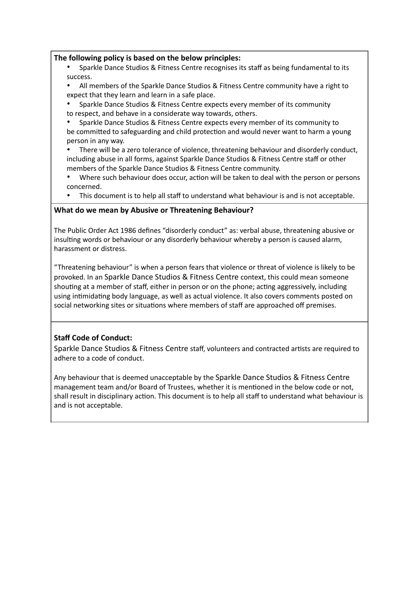### **The following policy is based on the below principles:**

- Sparkle Dance Studios & Fitness Centre recognises its staff as being fundamental to its success.
- All members of the Sparkle Dance Studios & Fitness Centre community have a right to expect that they learn and learn in a safe place.
- Sparkle Dance Studios & Fitness Centre expects every member of its community to respect, and behave in a considerate way towards, others.
- Sparkle Dance Studios & Fitness Centre expects every member of its community to be committed to safeguarding and child protection and would never want to harm a young person in any way.
- There will be a zero tolerance of violence, threatening behaviour and disorderly conduct, including abuse in all forms, against Sparkle Dance Studios & Fitness Centre staff or other members of the Sparkle Dance Studios & Fitness Centre community.
- Where such behaviour does occur, action will be taken to deal with the person or persons concerned.
- This document is to help all staff to understand what behaviour is and is not acceptable.

### **What do we mean by Abusive or Threatening Behaviour?**

The Public Order Act 1986 defines "disorderly conduct" as: verbal abuse, threatening abusive or insulting words or behaviour or any disorderly behaviour whereby a person is caused alarm, harassment or distress.

"Threatening behaviour" is when a person fears that violence or threat of violence is likely to be provoked. In an Sparkle Dance Studios & Fitness Centre context, this could mean someone shouting at a member of staff, either in person or on the phone; acting aggressively, including using intimidating body language, as well as actual violence. It also covers comments posted on social networking sites or situations where members of staff are approached off premises.

## **Staff Code of Conduct:**

Sparkle Dance Studios & Fitness Centre staff, volunteers and contracted artists are required to adhere to a code of conduct.

Any behaviour that is deemed unacceptable by the Sparkle Dance Studios & Fitness Centre management team and/or Board of Trustees, whether it is mentioned in the below code or not, shall result in disciplinary action. This document is to help all staff to understand what behaviour is and is not acceptable.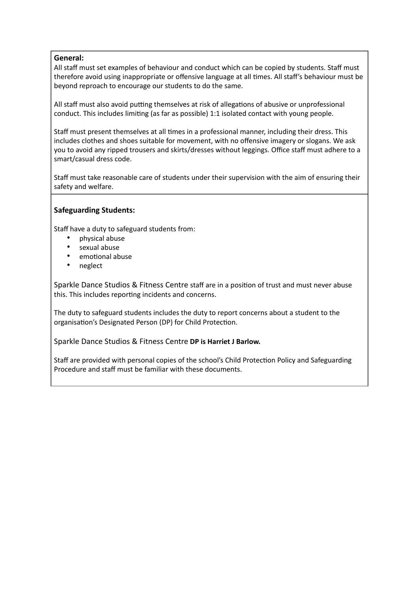## **General:**

All staff must set examples of behaviour and conduct which can be copied by students. Staff must therefore avoid using inappropriate or offensive language at all times. All staff's behaviour must be beyond reproach to encourage our students to do the same.

All staff must also avoid putting themselves at risk of allegations of abusive or unprofessional conduct. This includes limiting (as far as possible) 1:1 isolated contact with young people.

Staff must present themselves at all times in a professional manner, including their dress. This includes clothes and shoes suitable for movement, with no offensive imagery or slogans. We ask you to avoid any ripped trousers and skirts/dresses without leggings. Office staff must adhere to a smart/casual dress code.

Staff must take reasonable care of students under their supervision with the aim of ensuring their safety and welfare.

# **Safeguarding Students:**

Staff have a duty to safeguard students from:

- physical abuse
- sexual abuse
- emotional abuse
- neglect

Sparkle Dance Studios & Fitness Centre staff are in a position of trust and must never abuse this. This includes reporting incidents and concerns.

The duty to safeguard students includes the duty to report concerns about a student to the organisation's Designated Person (DP) for Child Protection.

Sparkle Dance Studios & Fitness Centre **DP is Harriet J Barlow.** 

Staff are provided with personal copies of the school's Child Protection Policy and Safeguarding Procedure and staff must be familiar with these documents.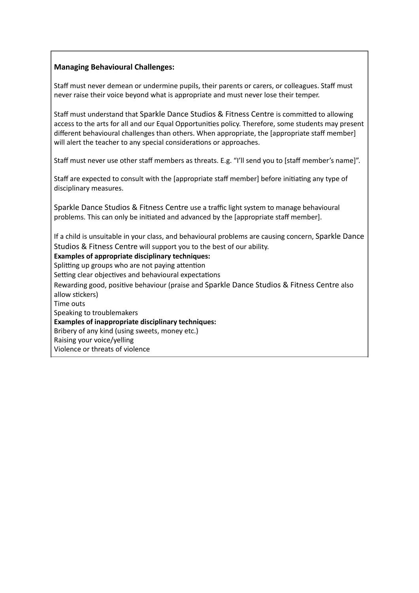## **Managing Behavioural Challenges:**

Staff must never demean or undermine pupils, their parents or carers, or colleagues. Staff must never raise their voice beyond what is appropriate and must never lose their temper.

Staff must understand that Sparkle Dance Studios & Fitness Centre is committed to allowing access to the arts for all and our Equal Opportunities policy. Therefore, some students may present different behavioural challenges than others. When appropriate, the [appropriate staff member] will alert the teacher to any special considerations or approaches.

Staff must never use other staff members as threats. E.g. "I'll send you to [staff member's name]".

Staff are expected to consult with the [appropriate staff member] before initiating any type of disciplinary measures.

Sparkle Dance Studios & Fitness Centre use a traffic light system to manage behavioural problems. This can only be initiated and advanced by the [appropriate staff member].

If a child is unsuitable in your class, and behavioural problems are causing concern, Sparkle Dance Studios & Fitness Centre will support you to the best of our ability.

### **Examples of appropriate disciplinary techniques:**

Splitting up groups who are not paying attention

Setting clear objectives and behavioural expectations

Rewarding good, positive behaviour (praise and Sparkle Dance Studios & Fitness Centre also allow stickers)

Time outs

Speaking to troublemakers

**Examples of inappropriate disciplinary techniques:**

Bribery of any kind (using sweets, money etc.)

Raising your voice/yelling Violence or threats of violence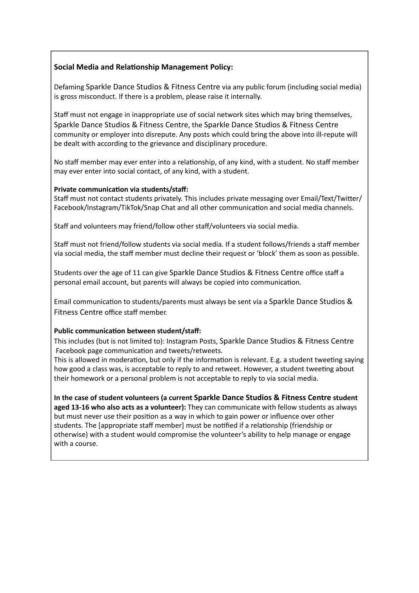# **Social Media and Relationship Management Policy:**

Defaming Sparkle Dance Studios & Fitness Centre via any public forum (including social media) is gross misconduct. If there is a problem, please raise it internally.

Staff must not engage in inappropriate use of social network sites which may bring themselves, Sparkle Dance Studios & Fitness Centre, the Sparkle Dance Studios & Fitness Centre community or employer into disrepute. Any posts which could bring the above into ill-repute will be dealt with according to the grievance and disciplinary procedure.

No staff member may ever enter into a relationship, of any kind, with a student. No staff member may ever enter into social contact, of any kind, with a student.

#### **Private communication via students/staff:**

Staff must not contact students privately. This includes private messaging over Email/Text/Twitter/ Facebook/Instagram/TikTok/Snap Chat and all other communication and social media channels.

Staff and volunteers may friend/follow other staff/volunteers via social media.

Staff must not friend/follow students via social media. If a student follows/friends a staff member via social media, the staff member must decline their request or 'block' them as soon as possible.

Students over the age of 11 can give Sparkle Dance Studios & Fitness Centre office staff a personal email account, but parents will always be copied into communication.

Email communication to students/parents must always be sent via a Sparkle Dance Studios & Fitness Centre office staff member.

#### **Public communication between student/staff:**

This includes (but is not limited to): Instagram Posts, Sparkle Dance Studios & Fitness Centre Facebook page communication and tweets/retweets.

This is allowed in moderation, but only if the information is relevant. E.g. a student tweeting saying how good a class was, is acceptable to reply to and retweet. However, a student tweeting about their homework or a personal problem is not acceptable to reply to via social media.

**In the case of student volunteers (a current Sparkle Dance Studios & Fitness Centre student aged 13-16 who also acts as a volunteer):** They can communicate with fellow students as always but must never use their position as a way in which to gain power or influence over other students. The [appropriate staff member] must be notified if a relationship (friendship or otherwise) with a student would compromise the volunteer's ability to help manage or engage with a course.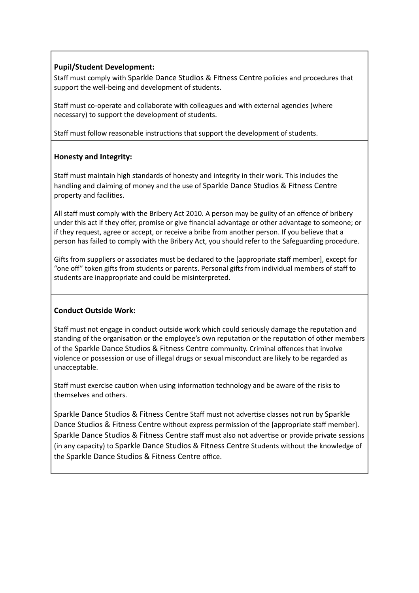# **Pupil/Student Development:**

Staff must comply with Sparkle Dance Studios & Fitness Centre policies and procedures that support the well-being and development of students.

Staff must co-operate and collaborate with colleagues and with external agencies (where necessary) to support the development of students.

Staff must follow reasonable instructions that support the development of students.

# **Honesty and Integrity:**

Staff must maintain high standards of honesty and integrity in their work. This includes the handling and claiming of money and the use of Sparkle Dance Studios & Fitness Centre property and facilities.

All staff must comply with the Bribery Act 2010. A person may be guilty of an offence of bribery under this act if they offer, promise or give financial advantage or other advantage to someone; or if they request, agree or accept, or receive a bribe from another person. If you believe that a person has failed to comply with the Bribery Act, you should refer to the Safeguarding procedure.

Gifts from suppliers or associates must be declared to the [appropriate staff member], except for "one off" token gifts from students or parents. Personal gifts from individual members of staff to students are inappropriate and could be misinterpreted.

## **Conduct Outside Work:**

Staff must not engage in conduct outside work which could seriously damage the reputation and standing of the organisation or the employee's own reputation or the reputation of other members of the Sparkle Dance Studios & Fitness Centre community. Criminal offences that involve violence or possession or use of illegal drugs or sexual misconduct are likely to be regarded as unacceptable.

Staff must exercise caution when using information technology and be aware of the risks to themselves and others.

Sparkle Dance Studios & Fitness Centre Staff must not advertise classes not run by Sparkle Dance Studios & Fitness Centre without express permission of the [appropriate staff member]. Sparkle Dance Studios & Fitness Centre staff must also not advertise or provide private sessions (in any capacity) to Sparkle Dance Studios & Fitness Centre Students without the knowledge of the Sparkle Dance Studios & Fitness Centre office.